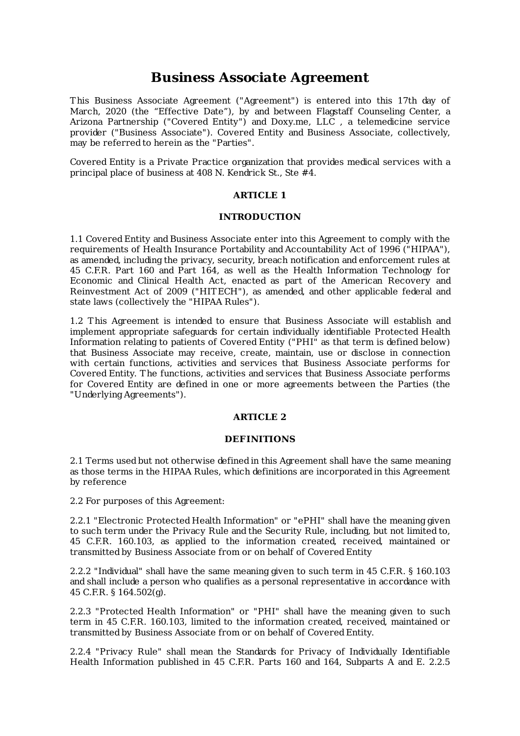# **Business Associate Agreement**

This Business Associate Agreement ("Agreement") is entered into this 17th day of March, 2020 (the "Effective Date"), by and between Flagstaff Counseling Center, a Arizona Partnership ("Covered Entity") and Doxy.me, LLC , a telemedicine service provider ("Business Associate"). Covered Entity and Business Associate, collectively, may be referred to herein as the "Parties".

Covered Entity is a Private Practice organization that provides medical services with a principal place of business at 408 N. Kendrick St., Ste #4.

## **ARTICLE 1**

## **INTRODUCTION**

1.1 Covered Entity and Business Associate enter into this Agreement to comply with the requirements of Health Insurance Portability and Accountability Act of 1996 ("HIPAA"), as amended, including the privacy, security, breach notification and enforcement rules at 45 C.F.R. Part 160 and Part 164, as well as the Health Information Technology for Economic and Clinical Health Act, enacted as part of the American Recovery and Reinvestment Act of 2009 ("HITECH"), as amended, and other applicable federal and state laws (collectively the "HIPAA Rules").

1.2 This Agreement is intended to ensure that Business Associate will establish and implement appropriate safeguards for certain individually identifiable Protected Health Information relating to patients of Covered Entity ("PHI" as that term is defined below) that Business Associate may receive, create, maintain, use or disclose in connection with certain functions, activities and services that Business Associate performs for Covered Entity. The functions, activities and services that Business Associate performs for Covered Entity are defined in one or more agreements between the Parties (the "Underlying Agreements").

## **ARTICLE 2**

#### **DEFINITIONS**

2.1 Terms used but not otherwise defined in this Agreement shall have the same meaning as those terms in the HIPAA Rules, which definitions are incorporated in this Agreement by reference

2.2 For purposes of this Agreement:

2.2.1 "Electronic Protected Health Information" or "ePHI" shall have the meaning given to such term under the Privacy Rule and the Security Rule, including, but not limited to, 45 C.F.R. 160.103, as applied to the information created, received, maintained or transmitted by Business Associate from or on behalf of Covered Entity

2.2.2 "Individual" shall have the same meaning given to such term in 45 C.F.R. § 160.103 and shall include a person who qualifies as a personal representative in accordance with 45 C.F.R. § 164.502(g).

2.2.3 "Protected Health Information" or "PHI" shall have the meaning given to such term in 45 C.F.R. 160.103, limited to the information created, received, maintained or transmitted by Business Associate from or on behalf of Covered Entity.

2.2.4 "Privacy Rule" shall mean the Standards for Privacy of Individually Identifiable Health Information published in 45 C.F.R. Parts 160 and 164, Subparts A and E. 2.2.5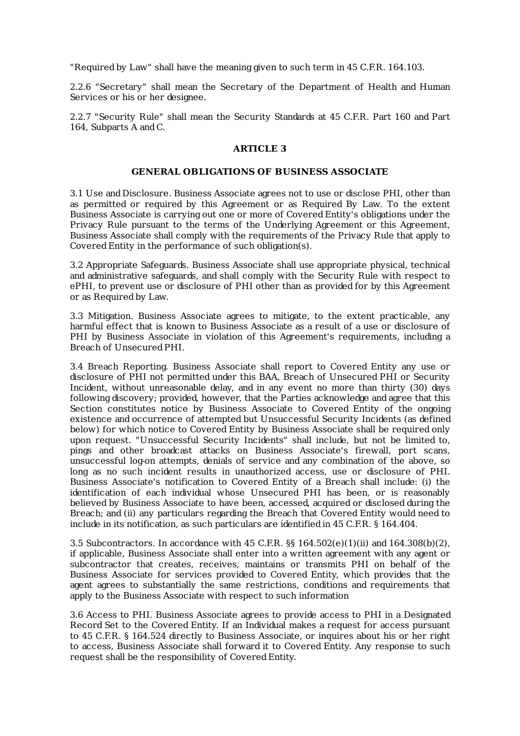"Required by Law" shall have the meaning given to such term in 45 C.F.R. 164.103.

2.2.6 "Secretary" shall mean the Secretary of the Department of Health and Human Services or his or her designee.

2.2.7 "Security Rule" shall mean the Security Standards at 45 C.F.R. Part 160 and Part 164, Subparts A and C.

#### **ARTICLE 3**

#### **GENERAL OBLIGATIONS OF BUSINESS ASSOCIATE**

3.1 Use and Disclosure. Business Associate agrees not to use or disclose PHI, other than as permitted or required by this Agreement or as Required By Law. To the extent Business Associate is carrying out one or more of Covered Entity's obligations under the Privacy Rule pursuant to the terms of the Underlying Agreement or this Agreement, Business Associate shall comply with the requirements of the Privacy Rule that apply to Covered Entity in the performance of such obligation(s).

3.2 Appropriate Safeguards. Business Associate shall use appropriate physical, technical and administrative safeguards, and shall comply with the Security Rule with respect to ePHI, to prevent use or disclosure of PHI other than as provided for by this Agreement or as Required by Law.

3.3 Mitigation. Business Associate agrees to mitigate, to the extent practicable, any harmful effect that is known to Business Associate as a result of a use or disclosure of PHI by Business Associate in violation of this Agreement's requirements, including a Breach of UnsecuredPHI.

3.4 Breach Reporting. Business Associate shall report to Covered Entity any use or disclosure of PHI not permitted under this BAA, Breach of Unsecured PHI or Security Incident, without unreasonable delay, and in any event no more than thirty (30) days following discovery; provided, however, that the Parties acknowledge and agree that this Section constitutes notice by Business Associate to Covered Entity of the ongoing existence and occurrence of attempted but Unsuccessful Security Incidents (as defined below) for which notice to Covered Entity by Business Associate shall be required only upon request. "Unsuccessful Security Incidents" shall include, but not be limited to, pings and other broadcast attacks on Business Associate's firewall, port scans, unsuccessful log-on attempts, denials of service and any combination of the above, so long as no such incident results in unauthorized access, use or disclosure of PHI. Business Associate's notification to Covered Entity of a Breach shall include: (i) the identification of each individual whose Unsecured PHI has been, or is reasonably believed by Business Associate to have been, accessed, acquired or disclosed during the Breach; and (ii) any particulars regarding the Breach that Covered Entity would need to include in its notification, as such particulars are identified in 45 C.F.R. § 164.404.

3.5 Subcontractors. In accordance with 45 C.F.R. §§ 164.502(e)(1)(ii) and 164.308(b)(2), if applicable, Business Associate shall enter into a written agreement with any agent or subcontractor that creates, receives, maintains or transmits PHI on behalf of the Business Associate for services provided to Covered Entity, which provides that the agent agrees to substantially the same restrictions, conditions and requirements that apply to the Business Associate with respect to such information

3.6 Access to PHI. Business Associate agrees to provide access to PHI in a Designated Record Set to the Covered Entity. If an Individual makes a request for access pursuant to 45 C.F.R. § 164.524 directly to Business Associate, or inquires about his or her right to access, Business Associate shall forward it to Covered Entity. Any response to such request shall be the responsibility of Covered Entity.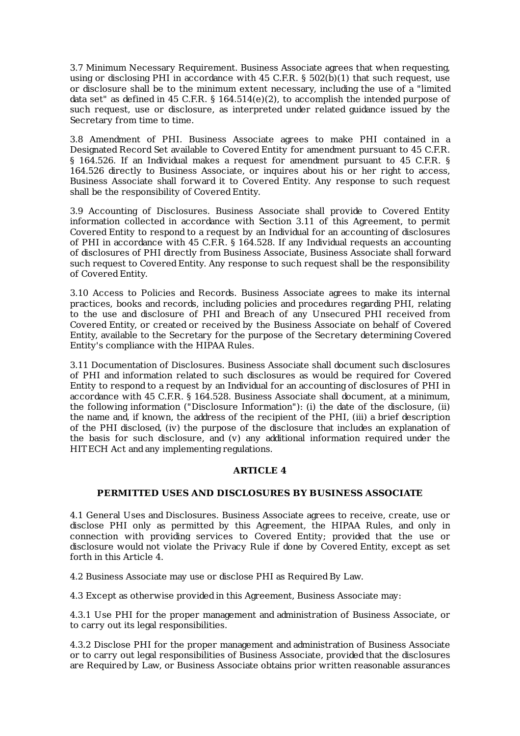3.7 Minimum Necessary Requirement. Business Associate agrees that when requesting, using or disclosing PHI in accordance with 45 C.F.R. § 502(b)(1) that such request, use or disclosure shall be to the minimum extent necessary, including the use of a "limited data set" as defined in 45 C.F.R. § 164.514(e)(2), to accomplish the intended purpose of such request, use or disclosure, as interpreted under related guidance issued by the Secretary from time to time.

3.8 Amendment of PHI. Business Associate agrees to make PHI contained in a Designated Record Set available to Covered Entity for amendment pursuant to 45 C.F.R. § 164.526. If an Individual makes a request for amendment pursuant to 45 C.F.R. § 164.526 directly to Business Associate, or inquires about his or her right to access, Business Associate shall forward it to Covered Entity. Any response to such request shall be the responsibility of Covered Entity.

3.9 Accounting of Disclosures. Business Associate shall provide to Covered Entity information collected in accordance with Section 3.11 of this Agreement, to permit Covered Entity to respond to a request by an Individual for an accounting of disclosures of PHI in accordance with 45 C.F.R. § 164.528. If any Individual requests an accounting of disclosures of PHI directly from Business Associate, Business Associate shall forward such request to Covered Entity. Any response to such request shall be the responsibility of Covered Entity.

3.10 Access to Policies and Records. Business Associate agrees to make its internal practices, books and records, including policies and procedures regarding PHI, relating to the use and disclosure of PHI and Breach of any Unsecured PHI received from Covered Entity, or created or received by the Business Associate on behalf of Covered Entity, available to the Secretary for the purpose of the Secretary determining Covered Entity's compliance with the HIPAA Rules.

3.11 Documentation of Disclosures. Business Associate shall document such disclosures of PHI and information related to such disclosures as would be required for Covered Entity to respond to a request by an Individual for an accounting of disclosures of PHI in accordance with 45 C.F.R. § 164.528. Business Associate shall document, at a minimum, the following information ("Disclosure Information"): (i) the date of the disclosure, (ii) the name and, if known, the address of the recipient of the PHI, (iii) a brief description of the PHI disclosed, (iv) the purpose of the disclosure that includes an explanation of the basis for such disclosure, and (v) any additional information required under the HITECH Act and any implementing regulations.

# **ARTICLE 4**

# **PERMITTED USES AND DISCLOSURES BY BUSINESS ASSOCIATE**

4.1 General Uses and Disclosures. Business Associate agrees to receive, create, use or disclose PHI only as permitted by this Agreement, the HIPAA Rules, and only in connection with providing services to Covered Entity; provided that the use or disclosure would not violate the Privacy Rule if done by Covered Entity, except as set forth in this Article 4.

4.2 Business Associate may use or disclose PHI as Required By Law.

4.3 Except as otherwise provided in this Agreement, Business Associate may:

4.3.1 Use PHI for the proper management and administration of Business Associate, or to carry out its legal responsibilities.

4.3.2 Disclose PHI for the proper management and administration of Business Associate or to carry out legal responsibilities of Business Associate, provided that the disclosures are Required by Law, or Business Associate obtains prior written reasonable assurances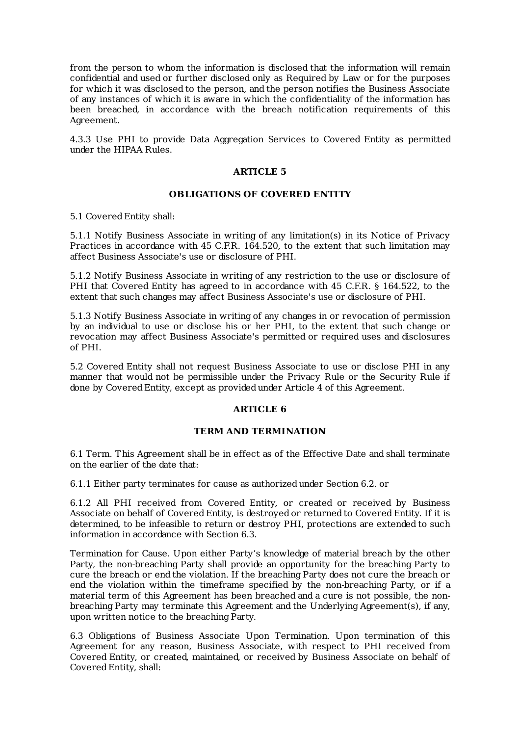from the person to whom the information is disclosed that the information will remain confidential and used or further disclosed only as Required by Law or for the purposes for which it was disclosed to the person, and the person notifies the Business Associate of any instances of which it is aware in which the confidentiality of the information has been breached, in accordance with the breach notification requirements of this Agreement.

4.3.3 Use PHI to provide Data Aggregation Services to Covered Entity as permitted under the HIPAA Rules.

## **ARTICLE 5**

## **OBLIGATIONS OF COVERED ENTITY**

5.1 Covered Entity shall:

5.1.1 Notify Business Associate in writing of any limitation(s) in its Notice of Privacy Practices in accordance with 45 C.F.R. 164.520, to the extent that such limitation may affect Business Associate's use or disclosure of PHI.

5.1.2 Notify Business Associate in writing of any restriction to the use or disclosure of PHI that Covered Entity has agreed to in accordance with 45 C.F.R. § 164.522, to the extent that such changes may affect Business Associate's use or disclosure of PHI.

5.1.3 Notify Business Associate in writing of any changes in or revocation of permission by an individual to use or disclose his or her PHI, to the extent that such change or revocation may affect Business Associate's permitted or required uses and disclosures of PHI.

5.2 Covered Entity shall not request Business Associate to use or disclose PHI in any manner that would not be permissible under the Privacy Rule or the Security Rule if done by Covered Entity, except as provided under Article 4 of this Agreement.

# **ARTICLE 6**

#### **TERM AND TERMINATION**

6.1 Term. This Agreement shall be in effect as of the Effective Date and shall terminate on the earlier of the date that:

6.1.1 Either party terminates for cause as authorized under Section 6.2. or

6.1.2 All PHI received from Covered Entity, or created or received by Business Associate on behalf of Covered Entity, is destroyed or returned to Covered Entity. If it is determined, to be infeasible to return or destroy PHI, protections are extended to such information in accordance with Section 6.3.

Termination for Cause. Upon either Party's knowledge of material breach by the other Party, the non-breaching Party shall provide an opportunity for the breaching Party to cure the breach or end the violation. If the breaching Party does not cure the breach or end the violation within the timeframe specified by the non-breaching Party, or if a material term of this Agreement has been breached and a cure is not possible, the nonbreaching Party may terminate this Agreement and the Underlying Agreement(s), if any, upon written notice to the breaching Party.

6.3 Obligations of Business Associate Upon Termination. Upon termination of this Agreement for any reason, Business Associate, with respect to PHI received from Covered Entity, or created, maintained, or received by Business Associate on behalf of Covered Entity, shall: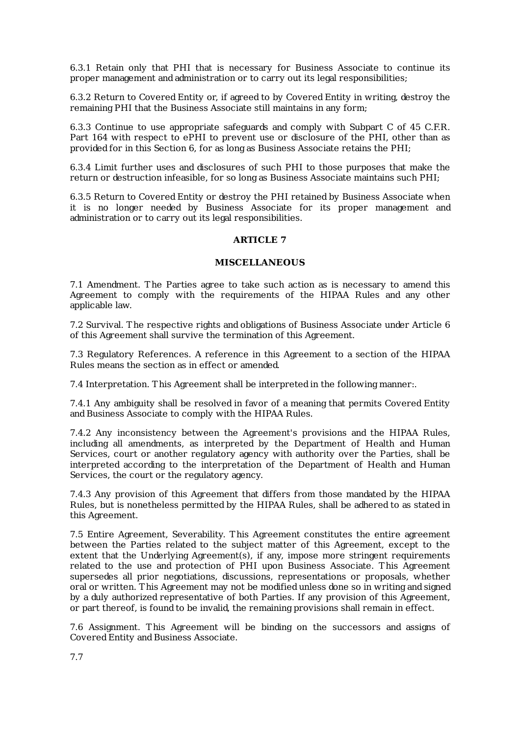6.3.1 Retain only that PHI that is necessary for Business Associate to continue its proper management and administration or to carry out its legal responsibilities;

6.3.2 Return to Covered Entity or, if agreed to by Covered Entity in writing, destroy the remaining PHI that the Business Associate still maintains in any form:

6.3.3 Continue to use appropriate safeguards and comply with Subpart C of 45 C.F.R. Part 164 with respect to ePHI to prevent use or disclosure of the PHI, other than as provided for in this Section 6, for as long as Business Associate retains the PHI;

6.3.4 Limit further uses and disclosures of such PHI to those purposes that make the return or destruction infeasible, for so long as Business Associate maintains such PHI;

6.3.5 Return to Covered Entity or destroy the PHI retained by Business Associate when it is no longer needed by Business Associate for its proper management and administration or to carry out its legal responsibilities.

# **ARTICLE 7**

# **MISCELLANEOUS**

7.1 Amendment. The Parties agree to take such action as is necessary to amend this Agreement to comply with the requirements of the HIPAA Rules and any other applicable law.

7.2 Survival. The respective rights and obligations of Business Associate under Article 6 of this Agreement shall survive the termination of this Agreement.

7.3 Regulatory References. A reference in this Agreement to a section of the HIPAA Rules means the section as in effect or amended.

7.4 Interpretation. This Agreement shall be interpreted in the following manner:.

7.4.1 Any ambiguity shall be resolved in favor of a meaning that permits Covered Entity and Business Associate to comply with the HIPAA Rules.

7.4.2 Any inconsistency between the Agreement's provisions and the HIPAA Rules, including all amendments, as interpreted by the Department of Health and Human Services, court or another regulatory agency with authority over the Parties, shall be interpreted according to the interpretation of the Department of Health and Human Services, the court or the regulatory agency.

7.4.3 Any provision of this Agreement that differs from those mandated by the HIPAA Rules, but is nonetheless permitted by the HIPAA Rules, shall be adhered to as stated in this Agreement.

7.5 Entire Agreement, Severability. This Agreement constitutes the entire agreement between the Parties related to the subject matter of this Agreement, except to the extent that the Underlying Agreement(s), if any, impose more stringent requirements related to the use and protection of PHI upon Business Associate. This Agreement supersedes all prior negotiations, discussions, representations or proposals, whether oral or written. This Agreement may not be modified unless done so in writing and signed by a duly authorized representative of both Parties. If any provision of this Agreement, or part thereof, is found to be invalid, the remaining provisions shall remain in effect.

7.6 Assignment. This Agreement will be binding on the successors and assigns of Covered Entity and Business Associate.